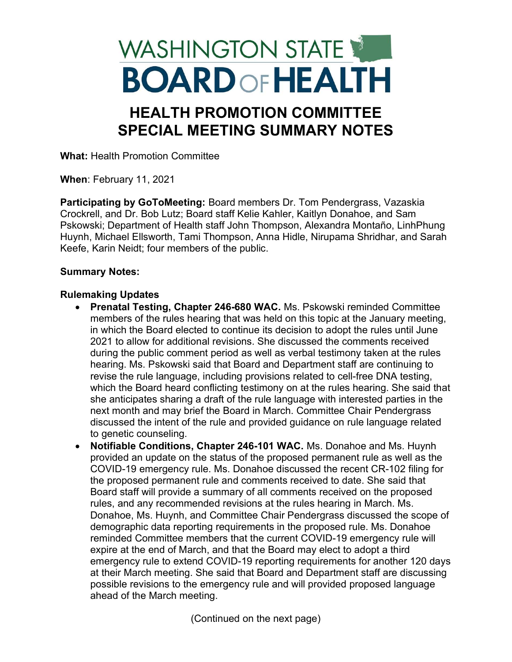# WASHINGTON STATE **BOARD OF HEALTH**

## HEALTH PROMOTION COMMITTEE SPECIAL MEETING SUMMARY NOTES

What: Health Promotion Committee

When: February 11, 2021

Participating by GoToMeeting: Board members Dr. Tom Pendergrass, Vazaskia Crockrell, and Dr. Bob Lutz; Board staff Kelie Kahler, Kaitlyn Donahoe, and Sam Pskowski; Department of Health staff John Thompson, Alexandra Montaño, LinhPhung Huynh, Michael Ellsworth, Tami Thompson, Anna Hidle, Nirupama Shridhar, and Sarah Keefe, Karin Neidt; four members of the public.

### Summary Notes:

### Rulemaking Updates

- Prenatal Testing, Chapter 246-680 WAC. Ms. Pskowski reminded Committee members of the rules hearing that was held on this topic at the January meeting, in which the Board elected to continue its decision to adopt the rules until June 2021 to allow for additional revisions. She discussed the comments received during the public comment period as well as verbal testimony taken at the rules hearing. Ms. Pskowski said that Board and Department staff are continuing to revise the rule language, including provisions related to cell-free DNA testing, which the Board heard conflicting testimony on at the rules hearing. She said that she anticipates sharing a draft of the rule language with interested parties in the next month and may brief the Board in March. Committee Chair Pendergrass discussed the intent of the rule and provided guidance on rule language related to genetic counseling.
- Notifiable Conditions, Chapter 246-101 WAC. Ms. Donahoe and Ms. Huynh provided an update on the status of the proposed permanent rule as well as the COVID-19 emergency rule. Ms. Donahoe discussed the recent CR-102 filing for the proposed permanent rule and comments received to date. She said that Board staff will provide a summary of all comments received on the proposed rules, and any recommended revisions at the rules hearing in March. Ms. Donahoe, Ms. Huynh, and Committee Chair Pendergrass discussed the scope of demographic data reporting requirements in the proposed rule. Ms. Donahoe reminded Committee members that the current COVID-19 emergency rule will expire at the end of March, and that the Board may elect to adopt a third emergency rule to extend COVID-19 reporting requirements for another 120 days at their March meeting. She said that Board and Department staff are discussing possible revisions to the emergency rule and will provided proposed language ahead of the March meeting.

(Continued on the next page)